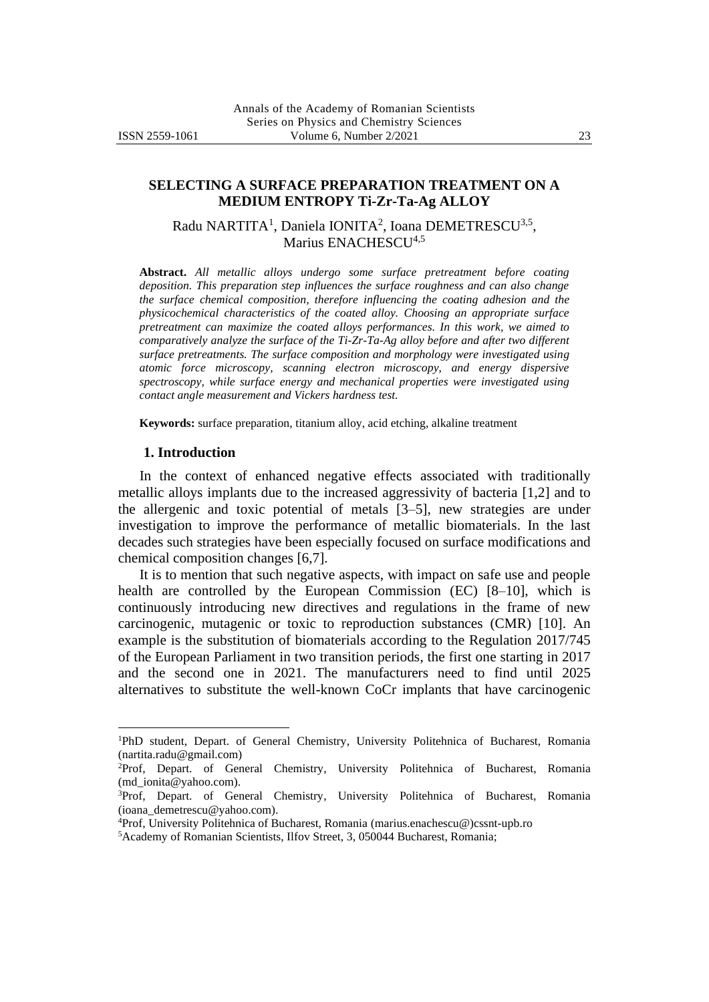# **SELECTING A SURFACE PREPARATION TREATMENT ON A MEDIUM ENTROPY Ti-Zr-Ta-Ag ALLOY**

Radu NARTITA<sup>1</sup>, Daniela IONITA<sup>2</sup>, Ioana DEMETRESCU<sup>3,5</sup>, Marius ENACHESCU<sup>4,5</sup>

**Abstract.** *All metallic alloys undergo some surface pretreatment before coating deposition. This preparation step influences the surface roughness and can also change the surface chemical composition, therefore influencing the coating adhesion and the physicochemical characteristics of the coated alloy. Choosing an appropriate surface pretreatment can maximize the coated alloys performances. In this work, we aimed to comparatively analyze the surface of the Ti-Zr-Ta-Ag alloy before and after two different surface pretreatments. The surface composition and morphology were investigated using atomic force microscopy, scanning electron microscopy, and energy dispersive spectroscopy, while surface energy and mechanical properties were investigated using contact angle measurement and Vickers hardness test.*

**Keywords:** surface preparation, titanium alloy, acid etching, alkaline treatment

#### **1. Introduction**

In the context of enhanced negative effects associated with traditionally metallic alloys implants due to the increased aggressivity of bacteria [1,2] and to the allergenic and toxic potential of metals [3–5], new strategies are under investigation to improve the performance of metallic biomaterials. In the last decades such strategies have been especially focused on surface modifications and chemical composition changes [6,7].

It is to mention that such negative aspects, with impact on safe use and people health are controlled by the European Commission (EC) [8–10], which is continuously introducing new directives and regulations in the frame of new carcinogenic, mutagenic or toxic to reproduction substances (CMR) [10]. An example is the substitution of biomaterials according to the Regulation 2017/745 of the European Parliament in two transition periods, the first one starting in 2017 and the second one in 2021. The manufacturers need to find until 2025 alternatives to substitute the well-known CoCr implants that have carcinogenic

<sup>1</sup>PhD student, Depart. of General Chemistry, University Politehnica of Bucharest, Romania (nartita.radu@gmail.com)

<sup>&</sup>lt;sup>2</sup>Prof, Depart. of General Chemistry, University Politehnica of Bucharest, Romania (md\_ionita@yahoo.com).

<sup>3</sup>Prof, Depart. of General Chemistry, University Politehnica of Bucharest, Romania (ioana\_demetrescu@yahoo.com).

<sup>4</sup>Prof, University Politehnica of Bucharest, Romania (marius.enachescu@)cssnt-upb.ro

<sup>5</sup>Academy of Romanian Scientists, Ilfov Street, 3, 050044 Bucharest, Romania;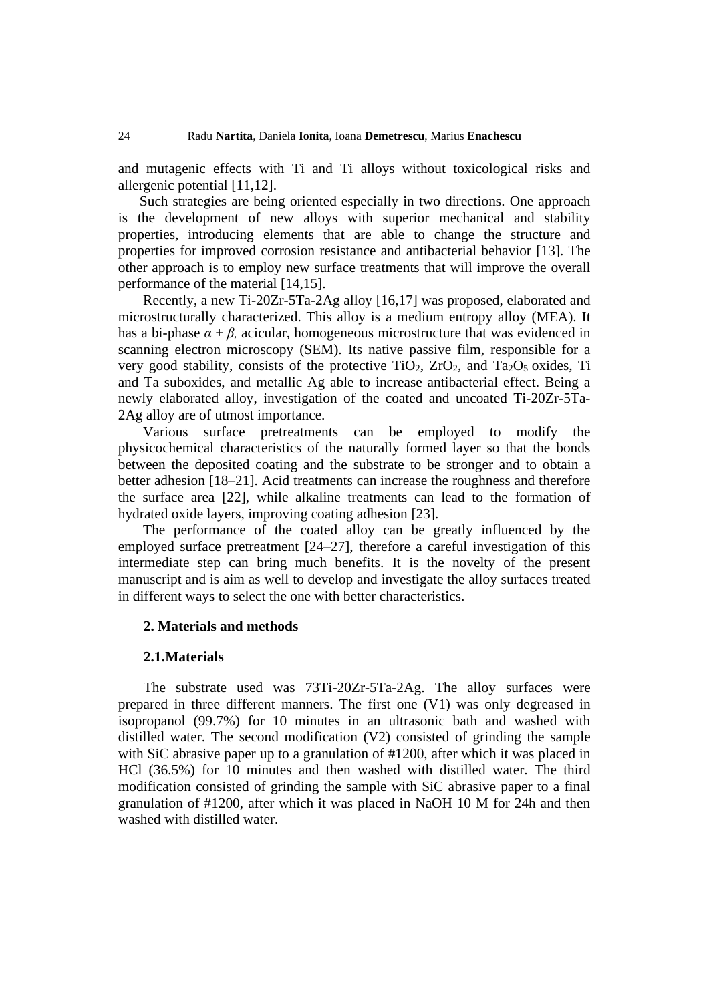and mutagenic effects with Ti and Ti alloys without toxicological risks and allergenic potential [11,12].

Such strategies are being oriented especially in two directions. One approach is the development of new alloys with superior mechanical and stability properties, introducing elements that are able to change the structure and properties for improved corrosion resistance and antibacterial behavior [13]. The other approach is to employ new surface treatments that will improve the overall performance of the material [14,15].

Recently, a new Ti-20Zr-5Ta-2Ag alloy [16,17] was proposed, elaborated and microstructurally characterized. This alloy is a medium entropy alloy (MEA). It has a bi-phase  $\alpha + \beta$ , acicular, homogeneous microstructure that was evidenced in scanning electron microscopy (SEM). Its native passive film, responsible for a very good stability, consists of the protective  $TiO<sub>2</sub>$ ,  $ZrO<sub>2</sub>$ , and  $Ta<sub>2</sub>O<sub>5</sub>$  oxides, Ti and Ta suboxides, and metallic Ag able to increase antibacterial effect. Being a newly elaborated alloy, investigation of the coated and uncoated Ti-20Zr-5Ta-2Ag alloy are of utmost importance.

Various surface pretreatments can be employed to modify the physicochemical characteristics of the naturally formed layer so that the bonds between the deposited coating and the substrate to be stronger and to obtain a better adhesion [18–21]. Acid treatments can increase the roughness and therefore the surface area [22], while alkaline treatments can lead to the formation of hydrated oxide layers, improving coating adhesion [23].

The performance of the coated alloy can be greatly influenced by the employed surface pretreatment [24–27], therefore a careful investigation of this intermediate step can bring much benefits. It is the novelty of the present manuscript and is aim as well to develop and investigate the alloy surfaces treated in different ways to select the one with better characteristics.

## **2. Materials and methods**

#### **2.1.Materials**

The substrate used was 73Ti-20Zr-5Ta-2Ag. The alloy surfaces were prepared in three different manners. The first one (V1) was only degreased in isopropanol (99.7%) for 10 minutes in an ultrasonic bath and washed with distilled water. The second modification (V2) consisted of grinding the sample with SiC abrasive paper up to a granulation of #1200, after which it was placed in HCl (36.5%) for 10 minutes and then washed with distilled water. The third modification consisted of grinding the sample with SiC abrasive paper to a final granulation of #1200, after which it was placed in NaOH 10 M for 24h and then washed with distilled water.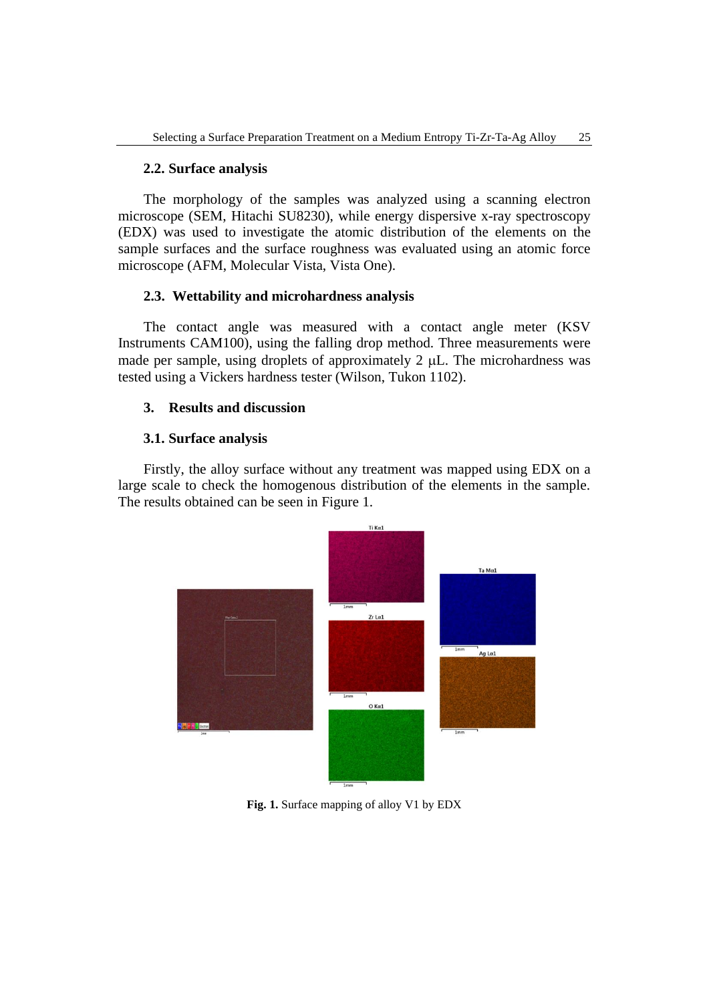## **2.2. Surface analysis**

The morphology of the samples was analyzed using a scanning electron microscope (SEM, Hitachi SU8230), while energy dispersive x-ray spectroscopy (EDX) was used to investigate the atomic distribution of the elements on the sample surfaces and the surface roughness was evaluated using an atomic force microscope (AFM, Molecular Vista, Vista One).

## **2.3. Wettability and microhardness analysis**

The contact angle was measured with a contact angle meter (KSV Instruments CAM100), using the falling drop method. Three measurements were made per sample, using droplets of approximately  $2 \mu L$ . The microhardness was tested using a Vickers hardness tester (Wilson, Tukon 1102).

### **3. Results and discussion**

### **3.1. Surface analysis**

Firstly, the alloy surface without any treatment was mapped using EDX on a large scale to check the homogenous distribution of the elements in the sample. The results obtained can be seen in Figure 1.



**Fig. 1.** Surface mapping of alloy V1 by EDX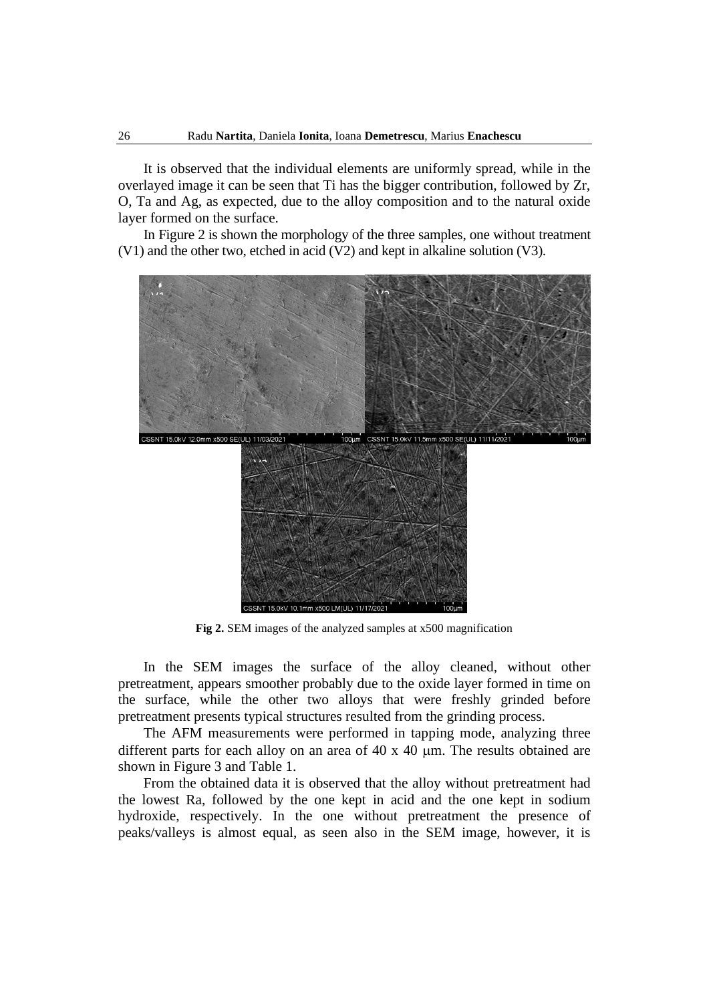It is observed that the individual elements are uniformly spread, while in the overlayed image it can be seen that Ti has the bigger contribution, followed by Zr, O, Ta and Ag, as expected, due to the alloy composition and to the natural oxide layer formed on the surface.

In Figure 2 is shown the morphology of the three samples, one without treatment (V1) and the other two, etched in acid (V2) and kept in alkaline solution (V3).



**Fig 2.** SEM images of the analyzed samples at x500 magnification

In the SEM images the surface of the alloy cleaned, without other pretreatment, appears smoother probably due to the oxide layer formed in time on the surface, while the other two alloys that were freshly grinded before pretreatment presents typical structures resulted from the grinding process.

The AFM measurements were performed in tapping mode, analyzing three different parts for each alloy on an area of  $40 \times 40$  µm. The results obtained are shown in Figure 3 and Table 1.

From the obtained data it is observed that the alloy without pretreatment had the lowest Ra, followed by the one kept in acid and the one kept in sodium hydroxide, respectively. In the one without pretreatment the presence of peaks/valleys is almost equal, as seen also in the SEM image, however, it is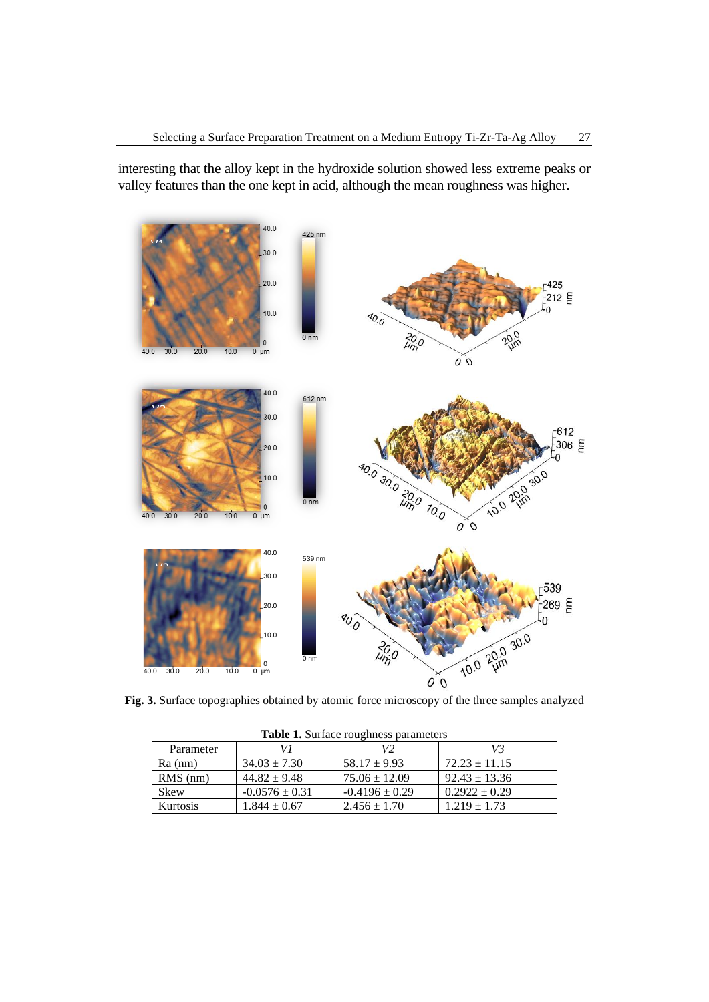interesting that the alloy kept in the hydroxide solution showed less extreme peaks or valley features than the one kept in acid, although the mean roughness was higher.



**Fig. 3.** Surface topographies obtained by atomic force microscopy of the three samples analyzed

| <b>Table 1.</b> Surface roughness parameters |                    |                    |                   |  |  |  |
|----------------------------------------------|--------------------|--------------------|-------------------|--|--|--|
| Parameter                                    |                    |                    | V3                |  |  |  |
| $Ra$ (nm)                                    | $34.03 \pm 7.30$   | $58.17 \pm 9.93$   | $72.23 \pm 11.15$ |  |  |  |
| $RMS$ (nm)                                   | $44.82 \pm 9.48$   | $75.06 \pm 12.09$  | $92.43 \pm 13.36$ |  |  |  |
| <b>Skew</b>                                  | $-0.0576 \pm 0.31$ | $-0.4196 \pm 0.29$ | $0.2922 \pm 0.29$ |  |  |  |
| Kurtosis                                     | $1.844 \pm 0.67$   | $2.456 \pm 1.70$   | $1.219 \pm 1.73$  |  |  |  |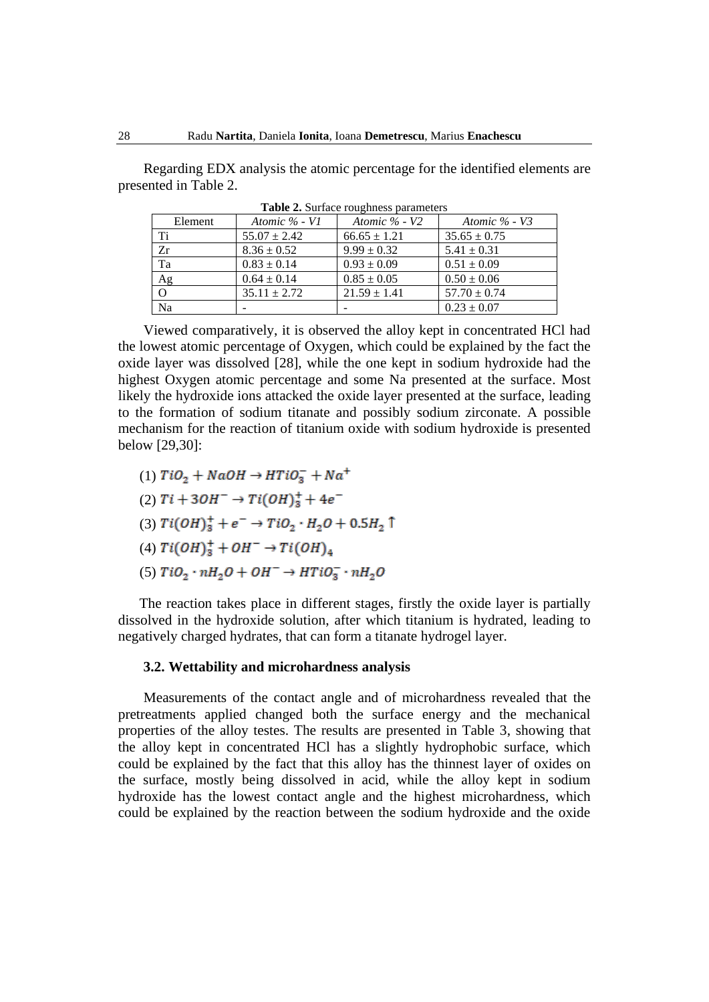Regarding EDX analysis the atomic percentage for the identified elements are presented in Table 2.

| Element        | Atomic $\%$ - V1 | Atomic $\%$ - V2 | Atomic $\%$ - V3 |
|----------------|------------------|------------------|------------------|
| Ti             | $55.07 \pm 2.42$ | $66.65 \pm 1.21$ | $35.65 \pm 0.75$ |
| Zr             | $8.36 \pm 0.52$  | $9.99 \pm 0.32$  | $5.41 \pm 0.31$  |
| Ta             | $0.83 \pm 0.14$  | $0.93 \pm 0.09$  | $0.51 \pm 0.09$  |
| Ag             | $0.64 \pm 0.14$  | $0.85 \pm 0.05$  | $0.50 \pm 0.06$  |
| $\overline{O}$ | $35.11 \pm 2.72$ | $21.59 \pm 1.41$ | $57.70 \pm 0.74$ |
| Na             |                  |                  | $0.23 \pm 0.07$  |

**Table 2.** Surface roughness parameters

Viewed comparatively, it is observed the alloy kept in concentrated HCl had the lowest atomic percentage of Oxygen, which could be explained by the fact the oxide layer was dissolved [28], while the one kept in sodium hydroxide had the highest Oxygen atomic percentage and some Na presented at the surface. Most likely the hydroxide ions attacked the oxide layer presented at the surface, leading to the formation of sodium titanate and possibly sodium zirconate. A possible mechanism for the reaction of titanium oxide with sodium hydroxide is presented below [29,30]:

- (1)  $TiO_2 + NaOH \rightarrow HTiO_3^- + Na^+$
- (2)  $Ti + 3OH^- \rightarrow Ti(OH)_3^+ + 4e^-$
- (3)  $Ti(OH)_3^+ + e^- \rightarrow TiO_2 \cdot H_2O + 0.5H_2$  î
- (4)  $Ti(OH)_{3}^{+} + OH^{-} \rightarrow Ti(OH)_{4}$
- (5)  $TiO_2 \cdot nH_2O + OH^- \rightarrow HTiO_3^- \cdot nH_2O$

The reaction takes place in different stages, firstly the oxide layer is partially dissolved in the hydroxide solution, after which titanium is hydrated, leading to negatively charged hydrates, that can form a titanate hydrogel layer.

#### **3.2. Wettability and microhardness analysis**

Measurements of the contact angle and of microhardness revealed that the pretreatments applied changed both the surface energy and the mechanical properties of the alloy testes. The results are presented in Table 3, showing that the alloy kept in concentrated HCl has a slightly hydrophobic surface, which could be explained by the fact that this alloy has the thinnest layer of oxides on the surface, mostly being dissolved in acid, while the alloy kept in sodium hydroxide has the lowest contact angle and the highest microhardness, which could be explained by the reaction between the sodium hydroxide and the oxide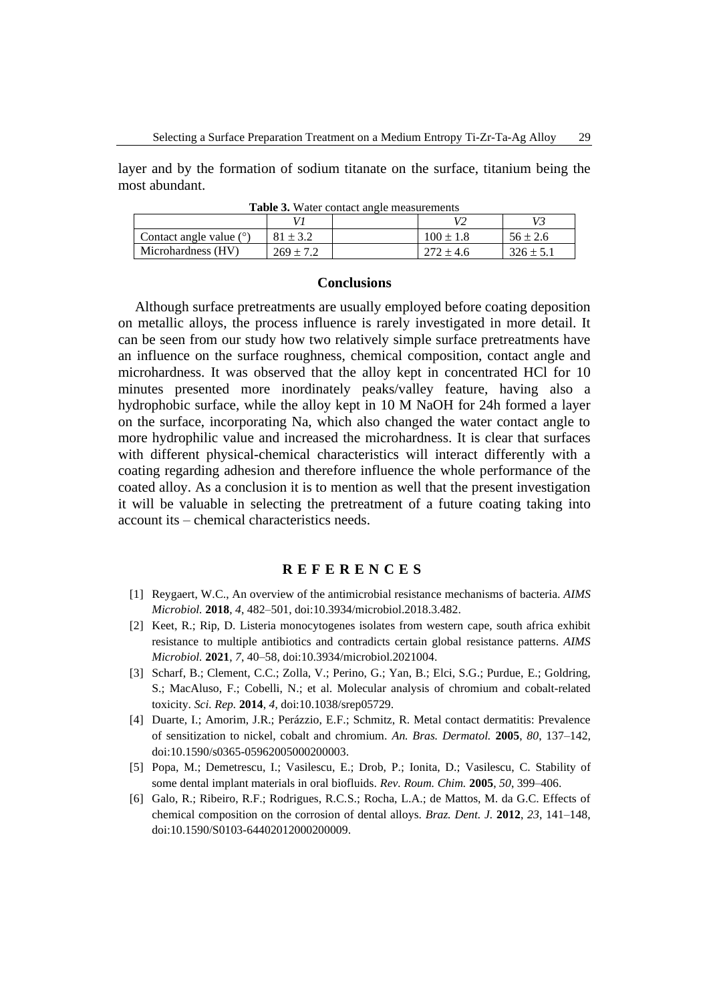layer and by the formation of sodium titanate on the surface, titanium being the most abundant.

|                           |               |  |               | V3            |  |  |
|---------------------------|---------------|--|---------------|---------------|--|--|
| Contact angle value $(°)$ | $81 + 32$     |  | $100 \pm 1.8$ | $56 \pm 2.6$  |  |  |
| Microhardness (HV)        | $269 \pm 7.2$ |  |               | $326 \pm 5.1$ |  |  |

**Table 3.** Water contact angle measurements

### **Conclusions**

Although surface pretreatments are usually employed before coating deposition on metallic alloys, the process influence is rarely investigated in more detail. It can be seen from our study how two relatively simple surface pretreatments have an influence on the surface roughness, chemical composition, contact angle and microhardness. It was observed that the alloy kept in concentrated HCl for 10 minutes presented more inordinately peaks/valley feature, having also a hydrophobic surface, while the alloy kept in 10 M NaOH for 24h formed a layer on the surface, incorporating Na, which also changed the water contact angle to more hydrophilic value and increased the microhardness. It is clear that surfaces with different physical-chemical characteristics will interact differently with a coating regarding adhesion and therefore influence the whole performance of the coated alloy. As a conclusion it is to mention as well that the present investigation it will be valuable in selecting the pretreatment of a future coating taking into account its – chemical characteristics needs.

# **R E F E R E N C E S**

- [1] Reygaert, W.C., An overview of the antimicrobial resistance mechanisms of bacteria. *AIMS Microbiol.* **2018**, *4*, 482–501, doi:10.3934/microbiol.2018.3.482.
- [2] Keet, R.; Rip, D. Listeria monocytogenes isolates from western cape, south africa exhibit resistance to multiple antibiotics and contradicts certain global resistance patterns. *AIMS Microbiol.* **2021**, *7*, 40–58, doi:10.3934/microbiol.2021004.
- [3] Scharf, B.; Clement, C.C.; Zolla, V.; Perino, G.; Yan, B.; Elci, S.G.; Purdue, E.; Goldring, S.; MacAluso, F.; Cobelli, N.; et al. Molecular analysis of chromium and cobalt-related toxicity. *Sci. Rep.* **2014**, *4*, doi:10.1038/srep05729.
- [4] Duarte, I.; Amorim, J.R.; Perázzio, E.F.; Schmitz, R. Metal contact dermatitis: Prevalence of sensitization to nickel, cobalt and chromium. *An. Bras. Dermatol.* **2005**, *80*, 137–142, doi:10.1590/s0365-05962005000200003.
- [5] Popa, M.; Demetrescu, I.; Vasilescu, E.; Drob, P.; Ionita, D.; Vasilescu, C. Stability of some dental implant materials in oral biofluids. *Rev. Roum. Chim.* **2005**, *50*, 399–406.
- [6] Galo, R.; Ribeiro, R.F.; Rodrigues, R.C.S.; Rocha, L.A.; de Mattos, M. da G.C. Effects of chemical composition on the corrosion of dental alloys. *Braz. Dent. J.* **2012**, *23*, 141–148, doi:10.1590/S0103-64402012000200009.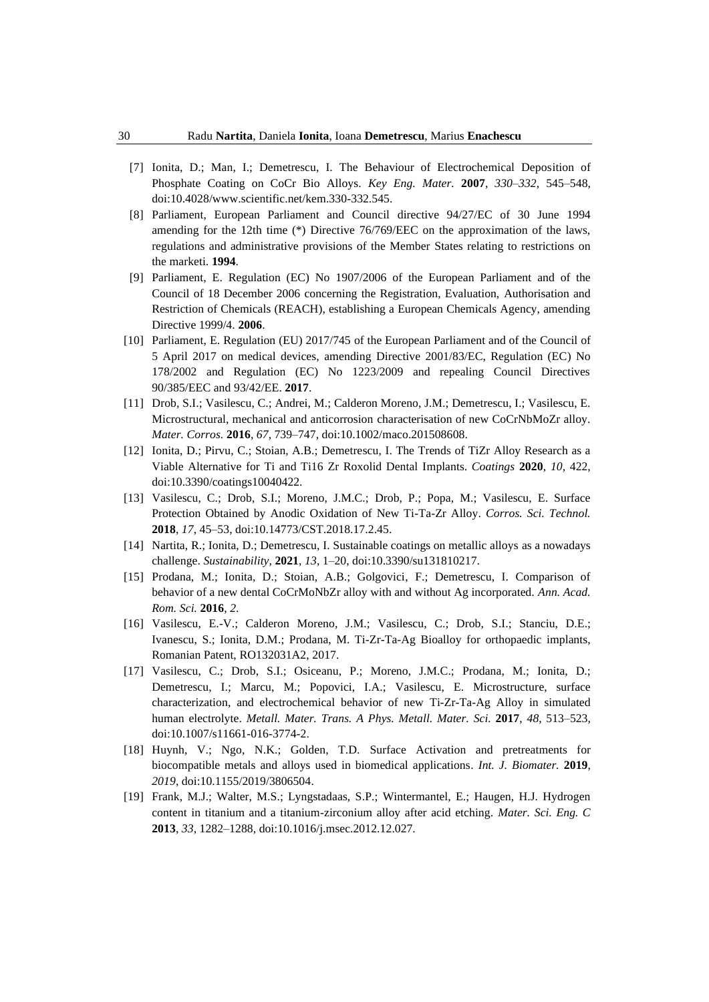- [7] Ionita, D.; Man, I.; Demetrescu, I. The Behaviour of Electrochemical Deposition of Phosphate Coating on CoCr Bio Alloys. *Key Eng. Mater.* **2007**, *330*–*332*, 545–548, doi:10.4028/www.scientific.net/kem.330-332.545.
- [8] Parliament, European Parliament and Council directive 94/27/EC of 30 June 1994 amending for the 12th time (\*) Directive 76/769/EEC on the approximation of the laws, regulations and administrative provisions of the Member States relating to restrictions on the marketi. **1994**.
- [9] Parliament, E. Regulation (EC) No 1907/2006 of the European Parliament and of the Council of 18 December 2006 concerning the Registration, Evaluation, Authorisation and Restriction of Chemicals (REACH), establishing a European Chemicals Agency, amending Directive 1999/4. **2006**.
- [10] Parliament, E. Regulation (EU) 2017/745 of the European Parliament and of the Council of 5 April 2017 on medical devices, amending Directive 2001/83/EC, Regulation (EC) No 178/2002 and Regulation (EC) No 1223/2009 and repealing Council Directives 90/385/EEC and 93/42/EE. **2017**.
- [11] Drob, S.I.; Vasilescu, C.; Andrei, M.; Calderon Moreno, J.M.; Demetrescu, I.; Vasilescu, E. Microstructural, mechanical and anticorrosion characterisation of new CoCrNbMoZr alloy. *Mater. Corros.* **2016**, *67*, 739–747, doi:10.1002/maco.201508608.
- [12] Ionita, D.; Pirvu, C.; Stoian, A.B.; Demetrescu, I. The Trends of TiZr Alloy Research as a Viable Alternative for Ti and Ti16 Zr Roxolid Dental Implants. *Coatings* **2020**, *10*, 422, doi:10.3390/coatings10040422.
- [13] Vasilescu, C.; Drob, S.I.; Moreno, J.M.C.; Drob, P.; Popa, M.; Vasilescu, E. Surface Protection Obtained by Anodic Oxidation of New Ti-Ta-Zr Alloy. *Corros. Sci. Technol.* **2018**, *17*, 45–53, doi:10.14773/CST.2018.17.2.45.
- [14] Nartita, R.; Ionita, D.; Demetrescu, I. Sustainable coatings on metallic alloys as a nowadays challenge. *Sustainability,* **2021**, *13*, 1–20, doi:10.3390/su131810217.
- [15] Prodana, M.; Ionita, D.; Stoian, A.B.; Golgovici, F.; Demetrescu, I. Comparison of behavior of a new dental CoCrMoNbZr alloy with and without Ag incorporated. *Ann. Acad. Rom. Sci.* **2016**, *2*.
- [16] Vasilescu, E.-V.; Calderon Moreno, J.M.; Vasilescu, C.; Drob, S.I.; Stanciu, D.E.; Ivanescu, S.; Ionita, D.M.; Prodana, M. Ti-Zr-Ta-Ag Bioalloy for orthopaedic implants, Romanian Patent, RO132031A2, 2017.
- [17] Vasilescu, C.; Drob, S.I.; Osiceanu, P.; Moreno, J.M.C.; Prodana, M.; Ionita, D.; Demetrescu, I.; Marcu, M.; Popovici, I.A.; Vasilescu, E. Microstructure, surface characterization, and electrochemical behavior of new Ti-Zr-Ta-Ag Alloy in simulated human electrolyte. *Metall. Mater. Trans. A Phys. Metall. Mater. Sci.* **2017**, *48*, 513–523, doi:10.1007/s11661-016-3774-2.
- [18] Huynh, V.; Ngo, N.K.; Golden, T.D. Surface Activation and pretreatments for biocompatible metals and alloys used in biomedical applications. *Int. J. Biomater.* **2019**, *2019*, doi:10.1155/2019/3806504.
- [19] Frank, M.J.; Walter, M.S.; Lyngstadaas, S.P.; Wintermantel, E.; Haugen, H.J. Hydrogen content in titanium and a titanium-zirconium alloy after acid etching. *Mater. Sci. Eng. C* **2013**, *33*, 1282–1288, doi:10.1016/j.msec.2012.12.027.